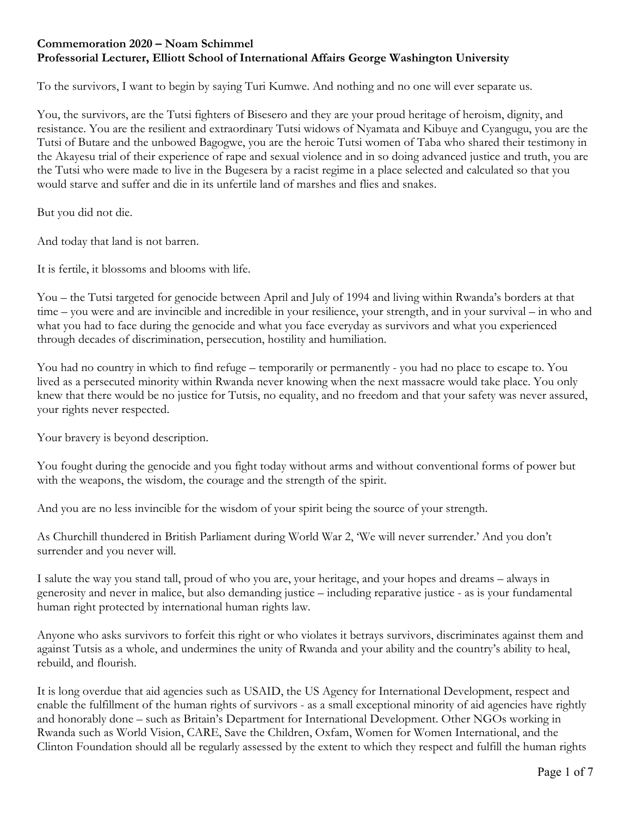## **Commemoration 2020 – Noam Schimmel Professorial Lecturer, Elliott School of International Affairs George Washington University**

To the survivors, I want to begin by saying Turi Kumwe. And nothing and no one will ever separate us.

You, the survivors, are the Tutsi fighters of Bisesero and they are your proud heritage of heroism, dignity, and resistance. You are the resilient and extraordinary Tutsi widows of Nyamata and Kibuye and Cyangugu, you are the Tutsi of Butare and the unbowed Bagogwe, you are the heroic Tutsi women of Taba who shared their testimony in the Akayesu trial of their experience of rape and sexual violence and in so doing advanced justice and truth, you are the Tutsi who were made to live in the Bugesera by a racist regime in a place selected and calculated so that you would starve and suffer and die in its unfertile land of marshes and flies and snakes.

But you did not die.

And today that land is not barren.

It is fertile, it blossoms and blooms with life.

You – the Tutsi targeted for genocide between April and July of 1994 and living within Rwanda's borders at that time – you were and are invincible and incredible in your resilience, your strength, and in your survival – in who and what you had to face during the genocide and what you face everyday as survivors and what you experienced through decades of discrimination, persecution, hostility and humiliation.

You had no country in which to find refuge – temporarily or permanently - you had no place to escape to. You lived as a persecuted minority within Rwanda never knowing when the next massacre would take place. You only knew that there would be no justice for Tutsis, no equality, and no freedom and that your safety was never assured, your rights never respected.

Your bravery is beyond description.

You fought during the genocide and you fight today without arms and without conventional forms of power but with the weapons, the wisdom, the courage and the strength of the spirit.

And you are no less invincible for the wisdom of your spirit being the source of your strength.

As Churchill thundered in British Parliament during World War 2, 'We will never surrender.' And you don't surrender and you never will.

I salute the way you stand tall, proud of who you are, your heritage, and your hopes and dreams – always in generosity and never in malice, but also demanding justice – including reparative justice - as is your fundamental human right protected by international human rights law.

Anyone who asks survivors to forfeit this right or who violates it betrays survivors, discriminates against them and against Tutsis as a whole, and undermines the unity of Rwanda and your ability and the country's ability to heal, rebuild, and flourish.

It is long overdue that aid agencies such as USAID, the US Agency for International Development, respect and enable the fulfillment of the human rights of survivors - as a small exceptional minority of aid agencies have rightly and honorably done – such as Britain's Department for International Development. Other NGOs working in Rwanda such as World Vision, CARE, Save the Children, Oxfam, Women for Women International, and the Clinton Foundation should all be regularly assessed by the extent to which they respect and fulfill the human rights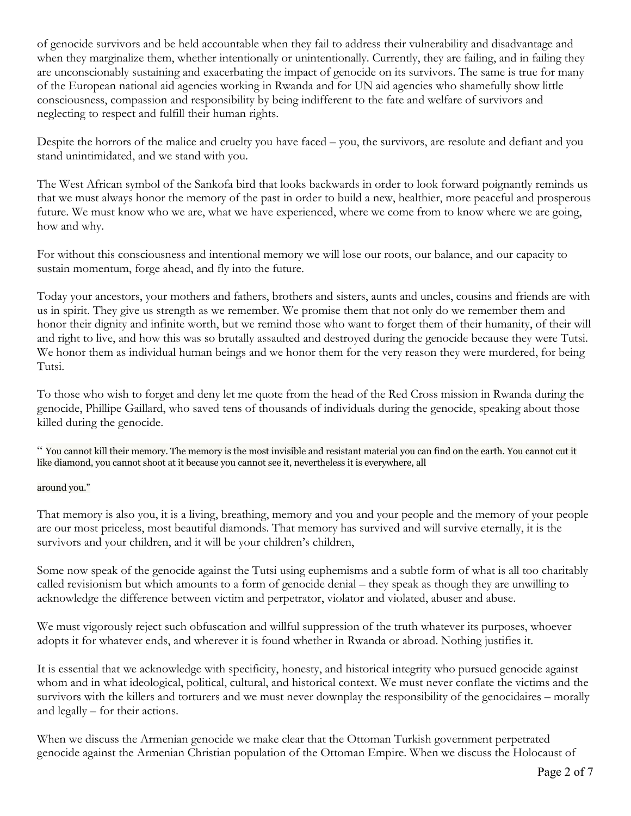of genocide survivors and be held accountable when they fail to address their vulnerability and disadvantage and when they marginalize them, whether intentionally or unintentionally. Currently, they are failing, and in failing they are unconscionably sustaining and exacerbating the impact of genocide on its survivors. The same is true for many of the European national aid agencies working in Rwanda and for UN aid agencies who shamefully show little consciousness, compassion and responsibility by being indifferent to the fate and welfare of survivors and neglecting to respect and fulfill their human rights.

Despite the horrors of the malice and cruelty you have faced – you, the survivors, are resolute and defiant and you stand unintimidated, and we stand with you.

The West African symbol of the Sankofa bird that looks backwards in order to look forward poignantly reminds us that we must always honor the memory of the past in order to build a new, healthier, more peaceful and prosperous future. We must know who we are, what we have experienced, where we come from to know where we are going, how and why.

For without this consciousness and intentional memory we will lose our roots, our balance, and our capacity to sustain momentum, forge ahead, and fly into the future.

Today your ancestors, your mothers and fathers, brothers and sisters, aunts and uncles, cousins and friends are with us in spirit. They give us strength as we remember. We promise them that not only do we remember them and honor their dignity and infinite worth, but we remind those who want to forget them of their humanity, of their will and right to live, and how this was so brutally assaulted and destroyed during the genocide because they were Tutsi. We honor them as individual human beings and we honor them for the very reason they were murdered, for being Tutsi.

To those who wish to forget and deny let me quote from the head of the Red Cross mission in Rwanda during the genocide, Phillipe Gaillard, who saved tens of thousands of individuals during the genocide, speaking about those killed during the genocide.

" You cannot kill their memory. The memory is the most invisible and resistant material you can find on the earth. You cannot cut it like diamond, you cannot shoot at it because you cannot see it, nevertheless it is everywhere, all

## around you."

That memory is also you, it is a living, breathing, memory and you and your people and the memory of your people are our most priceless, most beautiful diamonds. That memory has survived and will survive eternally, it is the survivors and your children, and it will be your children's children,

Some now speak of the genocide against the Tutsi using euphemisms and a subtle form of what is all too charitably called revisionism but which amounts to a form of genocide denial – they speak as though they are unwilling to acknowledge the difference between victim and perpetrator, violator and violated, abuser and abuse.

We must vigorously reject such obfuscation and willful suppression of the truth whatever its purposes, whoever adopts it for whatever ends, and wherever it is found whether in Rwanda or abroad. Nothing justifies it.

It is essential that we acknowledge with specificity, honesty, and historical integrity who pursued genocide against whom and in what ideological, political, cultural, and historical context. We must never conflate the victims and the survivors with the killers and torturers and we must never downplay the responsibility of the genocidaires – morally and legally – for their actions.

When we discuss the Armenian genocide we make clear that the Ottoman Turkish government perpetrated genocide against the Armenian Christian population of the Ottoman Empire. When we discuss the Holocaust of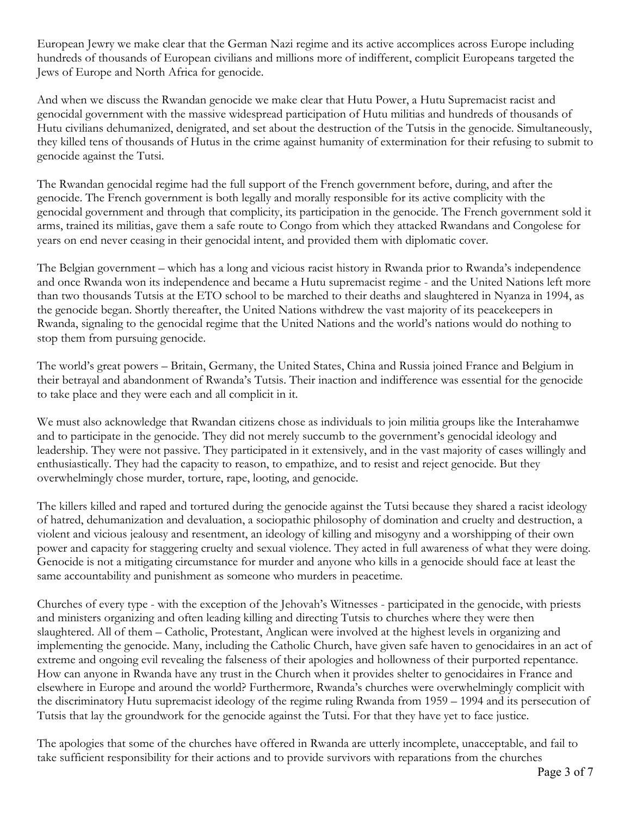European Jewry we make clear that the German Nazi regime and its active accomplices across Europe including hundreds of thousands of European civilians and millions more of indifferent, complicit Europeans targeted the Jews of Europe and North Africa for genocide.

And when we discuss the Rwandan genocide we make clear that Hutu Power, a Hutu Supremacist racist and genocidal government with the massive widespread participation of Hutu militias and hundreds of thousands of Hutu civilians dehumanized, denigrated, and set about the destruction of the Tutsis in the genocide. Simultaneously, they killed tens of thousands of Hutus in the crime against humanity of extermination for their refusing to submit to genocide against the Tutsi.

The Rwandan genocidal regime had the full support of the French government before, during, and after the genocide. The French government is both legally and morally responsible for its active complicity with the genocidal government and through that complicity, its participation in the genocide. The French government sold it arms, trained its militias, gave them a safe route to Congo from which they attacked Rwandans and Congolese for years on end never ceasing in their genocidal intent, and provided them with diplomatic cover.

The Belgian government – which has a long and vicious racist history in Rwanda prior to Rwanda's independence and once Rwanda won its independence and became a Hutu supremacist regime - and the United Nations left more than two thousands Tutsis at the ETO school to be marched to their deaths and slaughtered in Nyanza in 1994, as the genocide began. Shortly thereafter, the United Nations withdrew the vast majority of its peacekeepers in Rwanda, signaling to the genocidal regime that the United Nations and the world's nations would do nothing to stop them from pursuing genocide.

The world's great powers – Britain, Germany, the United States, China and Russia joined France and Belgium in their betrayal and abandonment of Rwanda's Tutsis. Their inaction and indifference was essential for the genocide to take place and they were each and all complicit in it.

We must also acknowledge that Rwandan citizens chose as individuals to join militia groups like the Interahamwe and to participate in the genocide. They did not merely succumb to the government's genocidal ideology and leadership. They were not passive. They participated in it extensively, and in the vast majority of cases willingly and enthusiastically. They had the capacity to reason, to empathize, and to resist and reject genocide. But they overwhelmingly chose murder, torture, rape, looting, and genocide.

The killers killed and raped and tortured during the genocide against the Tutsi because they shared a racist ideology of hatred, dehumanization and devaluation, a sociopathic philosophy of domination and cruelty and destruction, a violent and vicious jealousy and resentment, an ideology of killing and misogyny and a worshipping of their own power and capacity for staggering cruelty and sexual violence. They acted in full awareness of what they were doing. Genocide is not a mitigating circumstance for murder and anyone who kills in a genocide should face at least the same accountability and punishment as someone who murders in peacetime.

Churches of every type - with the exception of the Jehovah's Witnesses - participated in the genocide, with priests and ministers organizing and often leading killing and directing Tutsis to churches where they were then slaughtered. All of them – Catholic, Protestant, Anglican were involved at the highest levels in organizing and implementing the genocide. Many, including the Catholic Church, have given safe haven to genocidaires in an act of extreme and ongoing evil revealing the falseness of their apologies and hollowness of their purported repentance. How can anyone in Rwanda have any trust in the Church when it provides shelter to genocidaires in France and elsewhere in Europe and around the world? Furthermore, Rwanda's churches were overwhelmingly complicit with the discriminatory Hutu supremacist ideology of the regime ruling Rwanda from 1959 – 1994 and its persecution of Tutsis that lay the groundwork for the genocide against the Tutsi. For that they have yet to face justice.

The apologies that some of the churches have offered in Rwanda are utterly incomplete, unacceptable, and fail to take sufficient responsibility for their actions and to provide survivors with reparations from the churches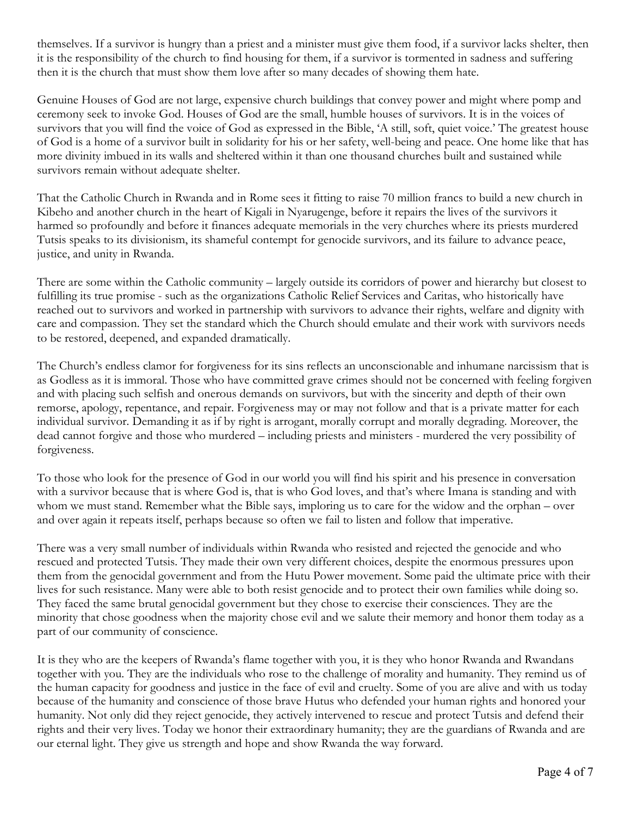themselves. If a survivor is hungry than a priest and a minister must give them food, if a survivor lacks shelter, then it is the responsibility of the church to find housing for them, if a survivor is tormented in sadness and suffering then it is the church that must show them love after so many decades of showing them hate.

Genuine Houses of God are not large, expensive church buildings that convey power and might where pomp and ceremony seek to invoke God. Houses of God are the small, humble houses of survivors. It is in the voices of survivors that you will find the voice of God as expressed in the Bible, 'A still, soft, quiet voice.' The greatest house of God is a home of a survivor built in solidarity for his or her safety, well-being and peace. One home like that has more divinity imbued in its walls and sheltered within it than one thousand churches built and sustained while survivors remain without adequate shelter.

That the Catholic Church in Rwanda and in Rome sees it fitting to raise 70 million francs to build a new church in Kibeho and another church in the heart of Kigali in Nyarugenge, before it repairs the lives of the survivors it harmed so profoundly and before it finances adequate memorials in the very churches where its priests murdered Tutsis speaks to its divisionism, its shameful contempt for genocide survivors, and its failure to advance peace, justice, and unity in Rwanda.

There are some within the Catholic community – largely outside its corridors of power and hierarchy but closest to fulfilling its true promise - such as the organizations Catholic Relief Services and Caritas, who historically have reached out to survivors and worked in partnership with survivors to advance their rights, welfare and dignity with care and compassion. They set the standard which the Church should emulate and their work with survivors needs to be restored, deepened, and expanded dramatically.

The Church's endless clamor for forgiveness for its sins reflects an unconscionable and inhumane narcissism that is as Godless as it is immoral. Those who have committed grave crimes should not be concerned with feeling forgiven and with placing such selfish and onerous demands on survivors, but with the sincerity and depth of their own remorse, apology, repentance, and repair. Forgiveness may or may not follow and that is a private matter for each individual survivor. Demanding it as if by right is arrogant, morally corrupt and morally degrading. Moreover, the dead cannot forgive and those who murdered – including priests and ministers - murdered the very possibility of forgiveness.

To those who look for the presence of God in our world you will find his spirit and his presence in conversation with a survivor because that is where God is, that is who God loves, and that's where Imana is standing and with whom we must stand. Remember what the Bible says, imploring us to care for the widow and the orphan – over and over again it repeats itself, perhaps because so often we fail to listen and follow that imperative.

There was a very small number of individuals within Rwanda who resisted and rejected the genocide and who rescued and protected Tutsis. They made their own very different choices, despite the enormous pressures upon them from the genocidal government and from the Hutu Power movement. Some paid the ultimate price with their lives for such resistance. Many were able to both resist genocide and to protect their own families while doing so. They faced the same brutal genocidal government but they chose to exercise their consciences. They are the minority that chose goodness when the majority chose evil and we salute their memory and honor them today as a part of our community of conscience.

It is they who are the keepers of Rwanda's flame together with you, it is they who honor Rwanda and Rwandans together with you. They are the individuals who rose to the challenge of morality and humanity. They remind us of the human capacity for goodness and justice in the face of evil and cruelty. Some of you are alive and with us today because of the humanity and conscience of those brave Hutus who defended your human rights and honored your humanity. Not only did they reject genocide, they actively intervened to rescue and protect Tutsis and defend their rights and their very lives. Today we honor their extraordinary humanity; they are the guardians of Rwanda and are our eternal light. They give us strength and hope and show Rwanda the way forward.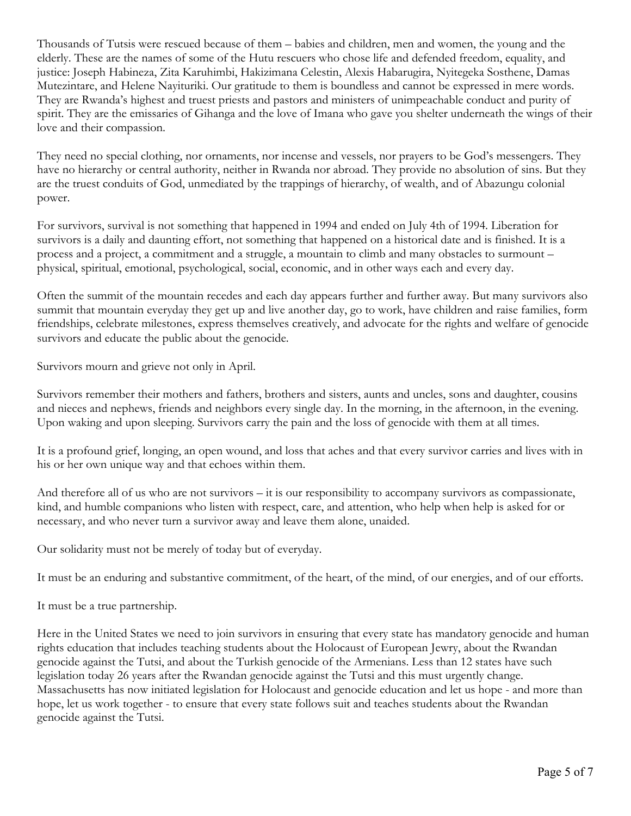Thousands of Tutsis were rescued because of them – babies and children, men and women, the young and the elderly. These are the names of some of the Hutu rescuers who chose life and defended freedom, equality, and justice: Joseph Habineza, Zita Karuhimbi, Hakizimana Celestin, Alexis Habarugira, Nyitegeka Sosthene, Damas Mutezintare, and Helene Nayituriki. Our gratitude to them is boundless and cannot be expressed in mere words. They are Rwanda's highest and truest priests and pastors and ministers of unimpeachable conduct and purity of spirit. They are the emissaries of Gihanga and the love of Imana who gave you shelter underneath the wings of their love and their compassion.

They need no special clothing, nor ornaments, nor incense and vessels, nor prayers to be God's messengers. They have no hierarchy or central authority, neither in Rwanda nor abroad. They provide no absolution of sins. But they are the truest conduits of God, unmediated by the trappings of hierarchy, of wealth, and of Abazungu colonial power.

For survivors, survival is not something that happened in 1994 and ended on July 4th of 1994. Liberation for survivors is a daily and daunting effort, not something that happened on a historical date and is finished. It is a process and a project, a commitment and a struggle, a mountain to climb and many obstacles to surmount – physical, spiritual, emotional, psychological, social, economic, and in other ways each and every day.

Often the summit of the mountain recedes and each day appears further and further away. But many survivors also summit that mountain everyday they get up and live another day, go to work, have children and raise families, form friendships, celebrate milestones, express themselves creatively, and advocate for the rights and welfare of genocide survivors and educate the public about the genocide.

Survivors mourn and grieve not only in April.

Survivors remember their mothers and fathers, brothers and sisters, aunts and uncles, sons and daughter, cousins and nieces and nephews, friends and neighbors every single day. In the morning, in the afternoon, in the evening. Upon waking and upon sleeping. Survivors carry the pain and the loss of genocide with them at all times.

It is a profound grief, longing, an open wound, and loss that aches and that every survivor carries and lives with in his or her own unique way and that echoes within them.

And therefore all of us who are not survivors – it is our responsibility to accompany survivors as compassionate, kind, and humble companions who listen with respect, care, and attention, who help when help is asked for or necessary, and who never turn a survivor away and leave them alone, unaided.

Our solidarity must not be merely of today but of everyday.

It must be an enduring and substantive commitment, of the heart, of the mind, of our energies, and of our efforts.

It must be a true partnership.

Here in the United States we need to join survivors in ensuring that every state has mandatory genocide and human rights education that includes teaching students about the Holocaust of European Jewry, about the Rwandan genocide against the Tutsi, and about the Turkish genocide of the Armenians. Less than 12 states have such legislation today 26 years after the Rwandan genocide against the Tutsi and this must urgently change. Massachusetts has now initiated legislation for Holocaust and genocide education and let us hope - and more than hope, let us work together - to ensure that every state follows suit and teaches students about the Rwandan genocide against the Tutsi.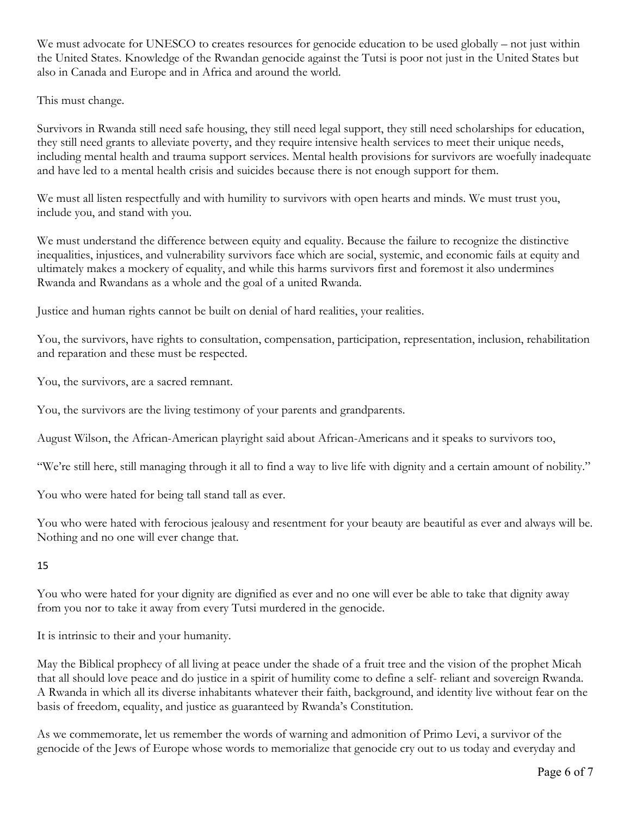We must advocate for UNESCO to creates resources for genocide education to be used globally – not just within the United States. Knowledge of the Rwandan genocide against the Tutsi is poor not just in the United States but also in Canada and Europe and in Africa and around the world.

This must change.

Survivors in Rwanda still need safe housing, they still need legal support, they still need scholarships for education, they still need grants to alleviate poverty, and they require intensive health services to meet their unique needs, including mental health and trauma support services. Mental health provisions for survivors are woefully inadequate and have led to a mental health crisis and suicides because there is not enough support for them.

We must all listen respectfully and with humility to survivors with open hearts and minds. We must trust you, include you, and stand with you.

We must understand the difference between equity and equality. Because the failure to recognize the distinctive inequalities, injustices, and vulnerability survivors face which are social, systemic, and economic fails at equity and ultimately makes a mockery of equality, and while this harms survivors first and foremost it also undermines Rwanda and Rwandans as a whole and the goal of a united Rwanda.

Justice and human rights cannot be built on denial of hard realities, your realities.

You, the survivors, have rights to consultation, compensation, participation, representation, inclusion, rehabilitation and reparation and these must be respected.

You, the survivors, are a sacred remnant.

You, the survivors are the living testimony of your parents and grandparents.

August Wilson, the African-American playright said about African-Americans and it speaks to survivors too,

"We're still here, still managing through it all to find a way to live life with dignity and a certain amount of nobility."

You who were hated for being tall stand tall as ever.

You who were hated with ferocious jealousy and resentment for your beauty are beautiful as ever and always will be. Nothing and no one will ever change that.

15

You who were hated for your dignity are dignified as ever and no one will ever be able to take that dignity away from you nor to take it away from every Tutsi murdered in the genocide.

It is intrinsic to their and your humanity.

May the Biblical prophecy of all living at peace under the shade of a fruit tree and the vision of the prophet Micah that all should love peace and do justice in a spirit of humility come to define a self- reliant and sovereign Rwanda. A Rwanda in which all its diverse inhabitants whatever their faith, background, and identity live without fear on the basis of freedom, equality, and justice as guaranteed by Rwanda's Constitution.

As we commemorate, let us remember the words of warning and admonition of Primo Levi, a survivor of the genocide of the Jews of Europe whose words to memorialize that genocide cry out to us today and everyday and